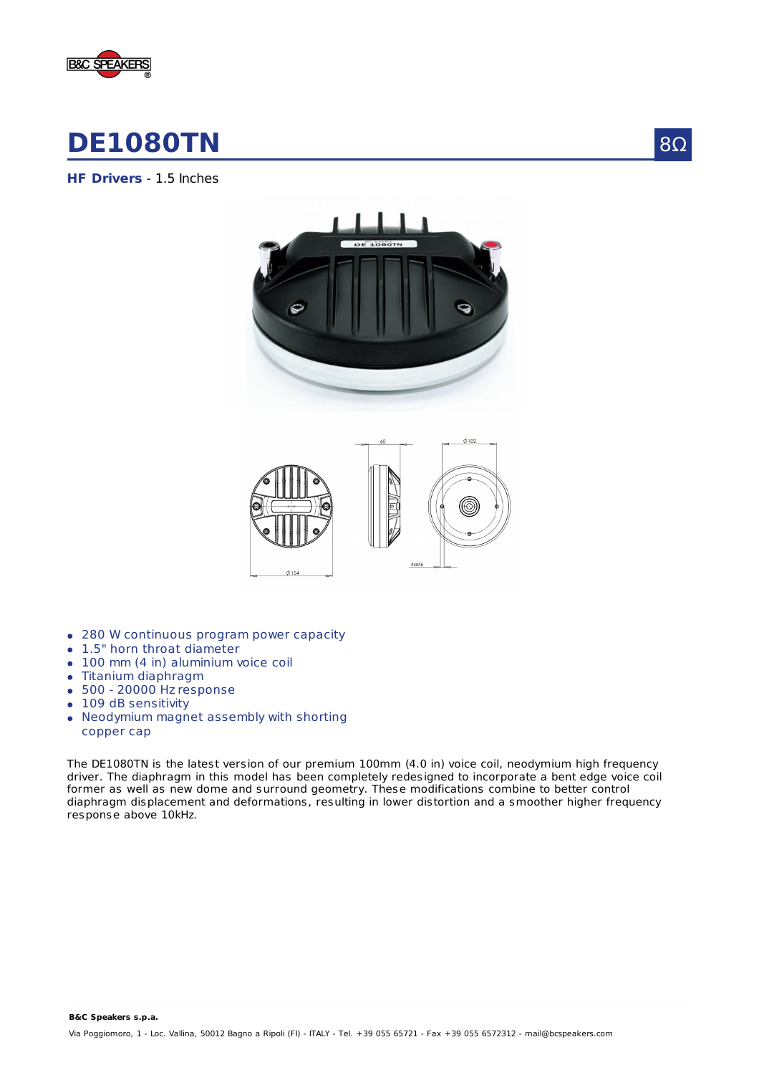

## **DE1080TN**

**HF Drivers** - 1.5 Inches





- 280 W continuous program power capacity
- 1.5" horn throat diameter
- 100 mm (4 in) aluminium voice coil
- Titanium diaphragm
- $\bullet$  500 20000 Hz response
- 109 dB sensitivity
- Neodymium magnet assembly with shorting copper cap

The DE1080TN is the latest version of our premium 100mm (4.0 in) voice coil, neodymium high frequency driver. The diaphragm in this model has been completely redesigned to incorporate a bent edge voice coil former as well as new dome and surround geometry. These modifications combine to better control diaphragm displacement and deformations, resulting in lower distortion and a smoother higher frequency response above 10kHz.

**B&C Speakers s.p.a.**

Via Poggiomoro, 1 - Loc. Vallina, 50012 Bagno a Ripoli (FI) - ITALY - Tel. +39 055 65721 - Fax +39 055 6572312 - mail@bcspeakers.com

8Ω